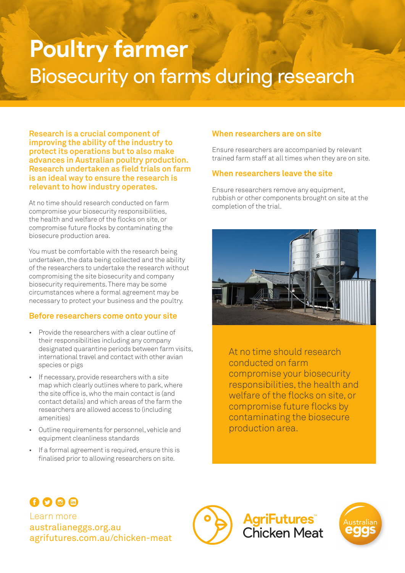# **Poultry farmer** Biosecurity on farms during research

**Research is a crucial component of improving the ability of the industry to protect its operations but to also make advances in Australian poultry production. Research undertaken as field trials on farm is an ideal way to ensure the research is relevant to how industry operates.** 

At no time should research conducted on farm compromise your biosecurity responsibilities, the health and welfare of the flocks on site, or compromise future flocks by contaminating the biosecure production area.

You must be comfortable with the research being undertaken, the data being collected and the ability of the researchers to undertake the research without compromising the site biosecurity and company biosecurity requirements. There may be some circumstances where a formal agreement may be necessary to protect your business and the poultry.

#### **Before researchers come onto your site**

- Provide the researchers with a clear outline of their responsibilities including any company designated quarantine periods between farm visits, international travel and contact with other avian species or pigs
- If necessary, provide researchers with a site map which clearly outlines where to park, where the site office is, who the main contact is (and contact details) and which areas of the farm the researchers are allowed access to (including amenities)
- Outline requirements for personnel, vehicle and equipment cleanliness standards
- If a formal agreement is required, ensure this is finalised prior to allowing researchers on site.

#### **When researchers are on site**

Ensure researchers are accompanied by relevant trained farm staff at all times when they are on site.

#### **When researchers leave the site**

Ensure researchers remove any equipment, rubbish or other components brought on site at the completion of the trial.



At no time should research conducted on farm compromise your biosecurity responsibilities, the health and welfare of the flocks on site, or compromise future flocks by contaminating the biosecure production area.

## OOOO

Learn more australianeggs.org.au agrifutures.com.au/chicken-meat



**AgriFutures**® **Chicken Meat**